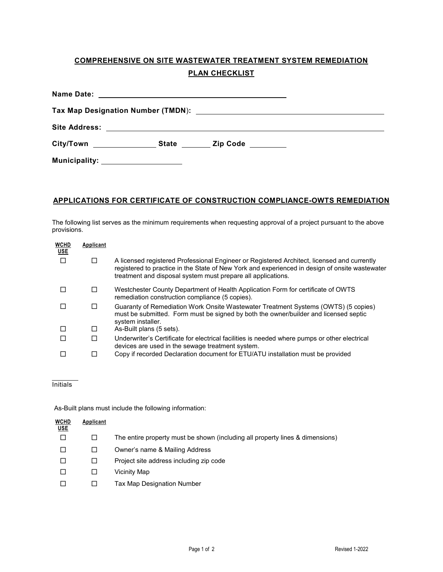# **COMPREHENSIVE ON SITE WASTEWATER TREATMENT SYSTEM REMEDIATION PLAN CHECKLIST**

| City/Town State                     |  | Zip Code <b>with the Second State</b> |  |  |  |  |
|-------------------------------------|--|---------------------------------------|--|--|--|--|
| Municipality: _____________________ |  |                                       |  |  |  |  |

### **APPLICATIONS FOR CERTIFICATE OF CONSTRUCTION COMPLIANCE-OWTS REMEDIATION**

The following list serves as the minimum requirements when requesting approval of a project pursuant to the above provisions.

| <b>WCHD</b><br><b>USE</b> | Applicant |                                                                                                                                                                                                                                                               |
|---------------------------|-----------|---------------------------------------------------------------------------------------------------------------------------------------------------------------------------------------------------------------------------------------------------------------|
|                           | $\Box$    | A licensed registered Professional Engineer or Registered Architect, licensed and currently<br>registered to practice in the State of New York and experienced in design of onsite wastewater<br>treatment and disposal system must prepare all applications. |
|                           |           | Westchester County Department of Health Application Form for certificate of OWTS<br>remediation construction compliance (5 copies).                                                                                                                           |
|                           |           | Guaranty of Remediation Work Onsite Wastewater Treatment Systems (OWTS) (5 copies)<br>must be submitted. Form must be signed by both the owner/builder and licensed septic<br>system installer.                                                               |
|                           |           | As-Built plans (5 sets).                                                                                                                                                                                                                                      |
|                           |           | Underwriter's Certificate for electrical facilities is needed where pumps or other electrical<br>devices are used in the sewage treatment system.                                                                                                             |
|                           |           | Copy if recorded Declaration document for ETU/ATU installation must be provided                                                                                                                                                                               |

#### $\overline{a}$ Initials

As-Built plans must include the following information:

| <b>WCHD</b><br><b>USE</b> | Applicant |                                                                               |
|---------------------------|-----------|-------------------------------------------------------------------------------|
|                           |           | The entire property must be shown (including all property lines & dimensions) |
|                           |           | Owner's name & Mailing Address                                                |
|                           |           | Project site address including zip code                                       |
| ΙI                        |           | Vicinity Map                                                                  |
|                           |           | Tax Map Designation Number                                                    |
|                           |           |                                                                               |